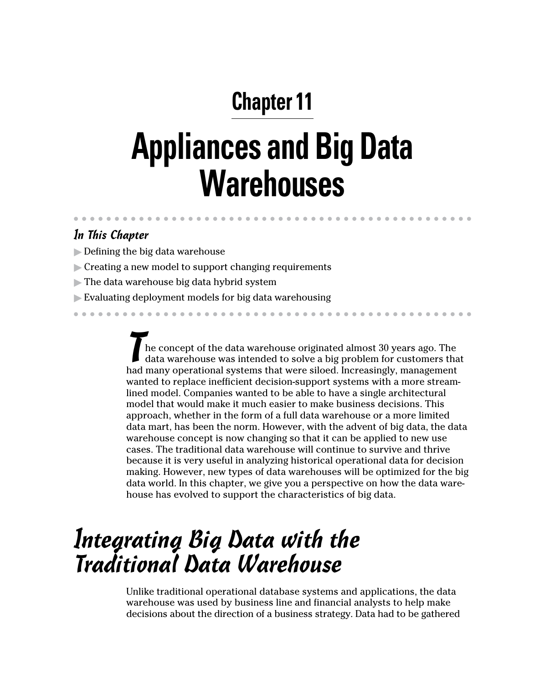# **Chapter 11**

# **Appliances and Big Data Warehouses**

. . . . . . . . . . . . . . . .

#### In This Chapter

- ▶ Defining the big data warehouse
- ▶ Creating a new model to support changing requirements
- $\triangleright$  The data warehouse big data hybrid system
- ▶ Evaluating deployment models for big data warehousing

In the concept of the data warehouse originated almost 30 years ago. The data warehouse was later than the concept of the  $\frac{1}{2}$ data warehouse was intended to solve a big problem for customers that had many operational systems that were siloed. Increasingly, management wanted to replace inefficient decision-support systems with a more streamlined model. Companies wanted to be able to have a single architectural model that would make it much easier to make business decisions. This approach, whether in the form of a full data warehouse or a more limited data mart, has been the norm. However, with the advent of big data, the data warehouse concept is now changing so that it can be applied to new use cases. The traditional data warehouse will continue to survive and thrive because it is very useful in analyzing historical operational data for decision making. However, new types of data warehouses will be optimized for the big data world. In this chapter, we give you a perspective on how the data warehouse has evolved to support the characteristics of big data.

-------------------------

# Integrating Big Data with the Traditional Data Warehouse

Unlike traditional operational database systems and applications, the data warehouse was used by business line and financial analysts to help make decisions about the direction of a business strategy. Data had to be gathered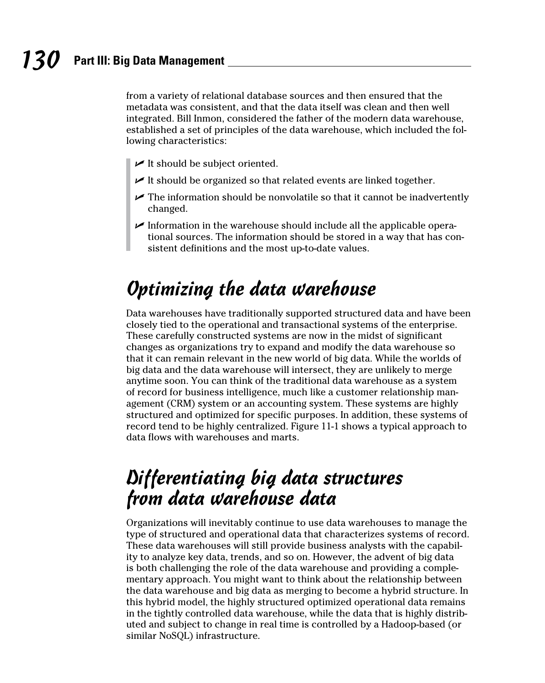from a variety of relational database sources and then ensured that the metadata was consistent, and that the data itself was clean and then well integrated. Bill Inmon, considered the father of the modern data warehouse, established a set of principles of the data warehouse, which included the following characteristics:

- $\triangleright$  It should be subject oriented.
- $\triangleright$  It should be organized so that related events are linked together.
- $\triangleright$  The information should be nonvolatile so that it cannot be inadvertently changed.
- $\blacktriangleright$  Information in the warehouse should include all the applicable operational sources. The information should be stored in a way that has consistent definitions and the most up-to-date values.

## Optimizing the data warehouse

Data warehouses have traditionally supported structured data and have been closely tied to the operational and transactional systems of the enterprise. These carefully constructed systems are now in the midst of significant changes as organizations try to expand and modify the data warehouse so that it can remain relevant in the new world of big data. While the worlds of big data and the data warehouse will intersect, they are unlikely to merge anytime soon. You can think of the traditional data warehouse as a system of record for business intelligence, much like a customer relationship management (CRM) system or an accounting system. These systems are highly structured and optimized for specific purposes. In addition, these systems of record tend to be highly centralized. Figure 11-1 shows a typical approach to data flows with warehouses and marts.

#### Differentiating big data structures from data warehouse data

Organizations will inevitably continue to use data warehouses to manage the type of structured and operational data that characterizes systems of record. These data warehouses will still provide business analysts with the capability to analyze key data, trends, and so on. However, the advent of big data is both challenging the role of the data warehouse and providing a complementary approach. You might want to think about the relationship between the data warehouse and big data as merging to become a hybrid structure. In this hybrid model, the highly structured optimized operational data remains in the tightly controlled data warehouse, while the data that is highly distributed and subject to change in real time is controlled by a Hadoop-based (or similar NoSQL) infrastructure.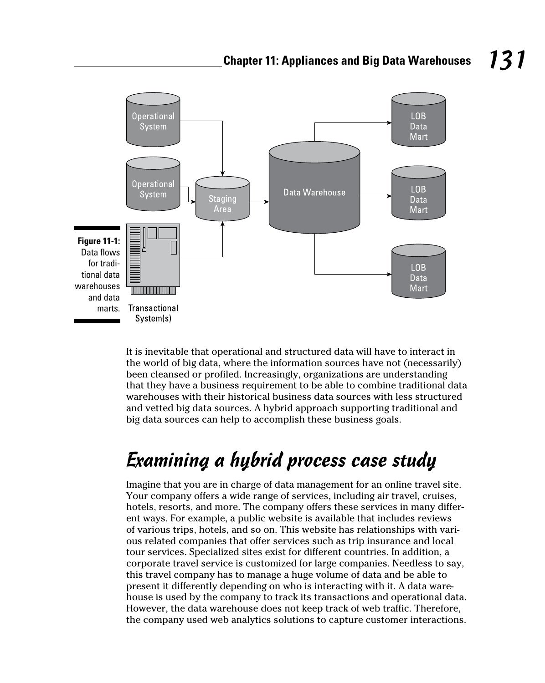

It is inevitable that operational and structured data will have to interact in the world of big data, where the information sources have not (necessarily) been cleansed or profiled. Increasingly, organizations are understanding that they have a business requirement to be able to combine traditional data warehouses with their historical business data sources with less structured and vetted big data sources. A hybrid approach supporting traditional and big data sources can help to accomplish these business goals.

### Examining a hybrid process case study

Imagine that you are in charge of data management for an online travel site. Your company offers a wide range of services, including air travel, cruises, hotels, resorts, and more. The company offers these services in many different ways. For example, a public website is available that includes reviews of various trips, hotels, and so on. This website has relationships with various related companies that offer services such as trip insurance and local tour services. Specialized sites exist for different countries. In addition, a corporate travel service is customized for large companies. Needless to say, this travel company has to manage a huge volume of data and be able to present it differently depending on who is interacting with it. A data warehouse is used by the company to track its transactions and operational data. However, the data warehouse does not keep track of web traffic. Therefore, the company used web analytics solutions to capture customer interactions.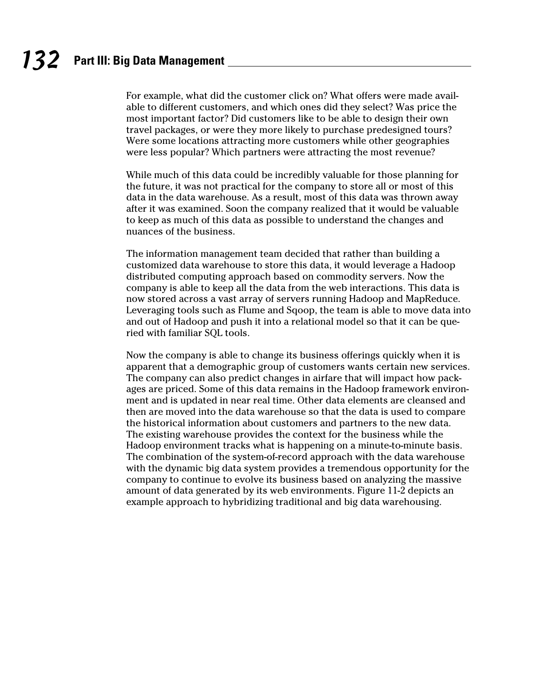For example, what did the customer click on? What offers were made available to different customers, and which ones did they select? Was price the most important factor? Did customers like to be able to design their own travel packages, or were they more likely to purchase predesigned tours? Were some locations attracting more customers while other geographies were less popular? Which partners were attracting the most revenue?

While much of this data could be incredibly valuable for those planning for the future, it was not practical for the company to store all or most of this data in the data warehouse. As a result, most of this data was thrown away after it was examined. Soon the company realized that it would be valuable to keep as much of this data as possible to understand the changes and nuances of the business.

The information management team decided that rather than building a customized data warehouse to store this data, it would leverage a Hadoop distributed computing approach based on commodity servers. Now the company is able to keep all the data from the web interactions. This data is now stored across a vast array of servers running Hadoop and MapReduce. Leveraging tools such as Flume and Sqoop, the team is able to move data into and out of Hadoop and push it into a relational model so that it can be queried with familiar SQL tools.

Now the company is able to change its business offerings quickly when it is apparent that a demographic group of customers wants certain new services. The company can also predict changes in airfare that will impact how packages are priced. Some of this data remains in the Hadoop framework environment and is updated in near real time. Other data elements are cleansed and then are moved into the data warehouse so that the data is used to compare the historical information about customers and partners to the new data. The existing warehouse provides the context for the business while the Hadoop environment tracks what is happening on a minute-to-minute basis. The combination of the system-of-record approach with the data warehouse with the dynamic big data system provides a tremendous opportunity for the company to continue to evolve its business based on analyzing the massive amount of data generated by its web environments. Figure 11-2 depicts an example approach to hybridizing traditional and big data warehousing.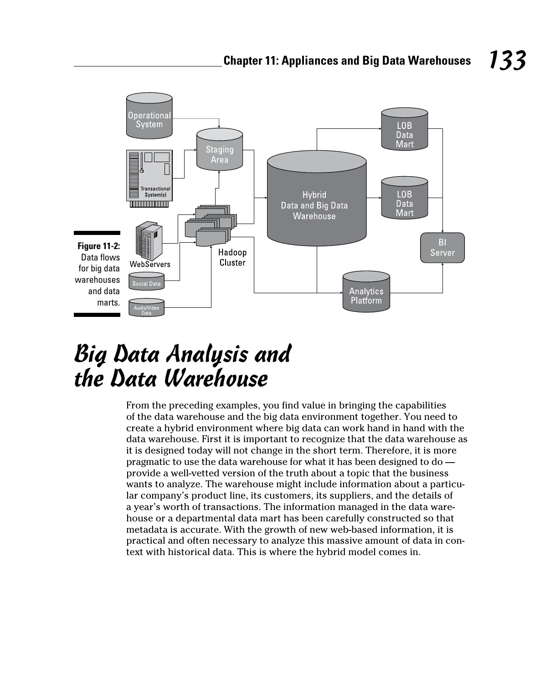

# Big Data Analysis and the Data Warehouse

From the preceding examples, you find value in bringing the capabilities of the data warehouse and the big data environment together. You need to create a hybrid environment where big data can work hand in hand with the data warehouse. First it is important to recognize that the data warehouse as it is designed today will not change in the short term. Therefore, it is more pragmatic to use the data warehouse for what it has been designed to do provide a well-vetted version of the truth about a topic that the business wants to analyze. The warehouse might include information about a particular company's product line, its customers, its suppliers, and the details of a year's worth of transactions. The information managed in the data warehouse or a departmental data mart has been carefully constructed so that metadata is accurate. With the growth of new web-based information, it is practical and often necessary to analyze this massive amount of data in context with historical data. This is where the hybrid model comes in.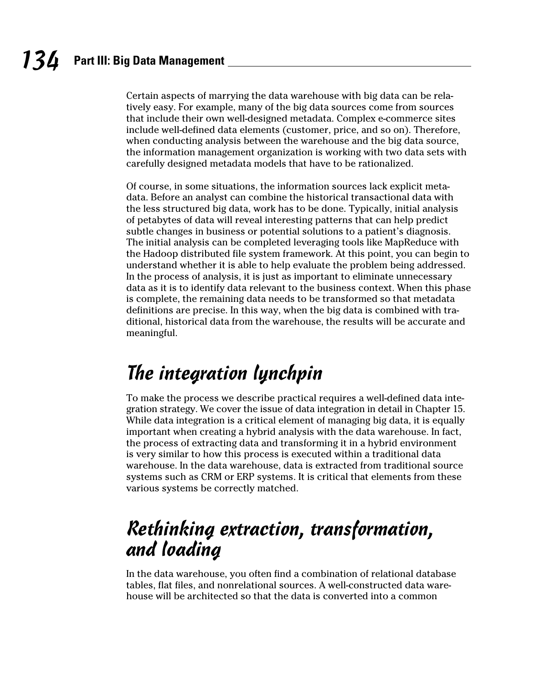Certain aspects of marrying the data warehouse with big data can be relatively easy. For example, many of the big data sources come from sources that include their own well-designed metadata. Complex e-commerce sites include well-defined data elements (customer, price, and so on). Therefore, when conducting analysis between the warehouse and the big data source, the information management organization is working with two data sets with carefully designed metadata models that have to be rationalized.

Of course, in some situations, the information sources lack explicit metadata. Before an analyst can combine the historical transactional data with the less structured big data, work has to be done. Typically, initial analysis of petabytes of data will reveal interesting patterns that can help predict subtle changes in business or potential solutions to a patient's diagnosis. The initial analysis can be completed leveraging tools like MapReduce with the Hadoop distributed file system framework. At this point, you can begin to understand whether it is able to help evaluate the problem being addressed. In the process of analysis, it is just as important to eliminate unnecessary data as it is to identify data relevant to the business context. When this phase is complete, the remaining data needs to be transformed so that metadata definitions are precise. In this way, when the big data is combined with traditional, historical data from the warehouse, the results will be accurate and meaningful.

### The integration lynchpin

To make the process we describe practical requires a well-defined data integration strategy. We cover the issue of data integration in detail in Chapter 15. While data integration is a critical element of managing big data, it is equally important when creating a hybrid analysis with the data warehouse. In fact, the process of extracting data and transforming it in a hybrid environment is very similar to how this process is executed within a traditional data warehouse. In the data warehouse, data is extracted from traditional source systems such as CRM or ERP systems. It is critical that elements from these various systems be correctly matched.

#### Rethinking extraction, transformation, and loading

In the data warehouse, you often find a combination of relational database tables, flat files, and nonrelational sources. A well-constructed data warehouse will be architected so that the data is converted into a common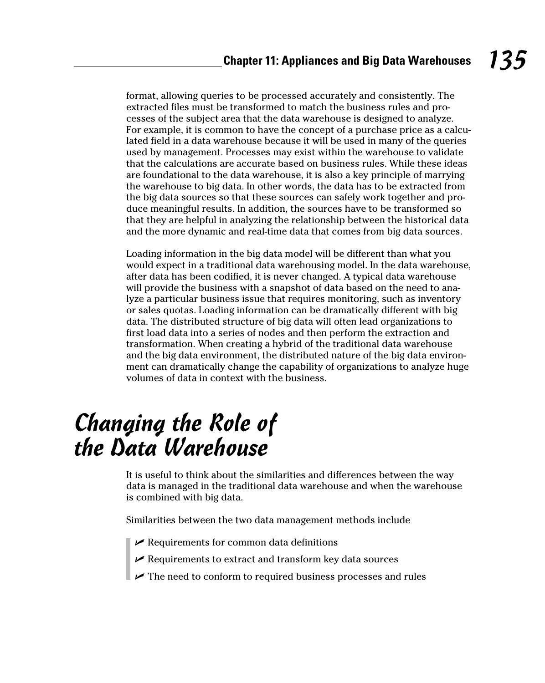format, allowing queries to be processed accurately and consistently. The extracted files must be transformed to match the business rules and processes of the subject area that the data warehouse is designed to analyze. For example, it is common to have the concept of a purchase price as a calculated field in a data warehouse because it will be used in many of the queries used by management. Processes may exist within the warehouse to validate that the calculations are accurate based on business rules. While these ideas are foundational to the data warehouse, it is also a key principle of marrying the warehouse to big data. In other words, the data has to be extracted from the big data sources so that these sources can safely work together and produce meaningful results. In addition, the sources have to be transformed so that they are helpful in analyzing the relationship between the historical data and the more dynamic and real-time data that comes from big data sources.

Loading information in the big data model will be different than what you would expect in a traditional data warehousing model. In the data warehouse, after data has been codified, it is never changed. A typical data warehouse will provide the business with a snapshot of data based on the need to analyze a particular business issue that requires monitoring, such as inventory or sales quotas. Loading information can be dramatically different with big data. The distributed structure of big data will often lead organizations to first load data into a series of nodes and then perform the extraction and transformation. When creating a hybrid of the traditional data warehouse and the big data environment, the distributed nature of the big data environment can dramatically change the capability of organizations to analyze huge volumes of data in context with the business.

# Changing the Role of the Data Warehouse

It is useful to think about the similarities and differences between the way data is managed in the traditional data warehouse and when the warehouse is combined with big data.

Similarities between the two data management methods include

- $\blacktriangleright$  Requirements for common data definitions
- $\blacktriangleright$  Requirements to extract and transform key data sources
- $\triangleright$  The need to conform to required business processes and rules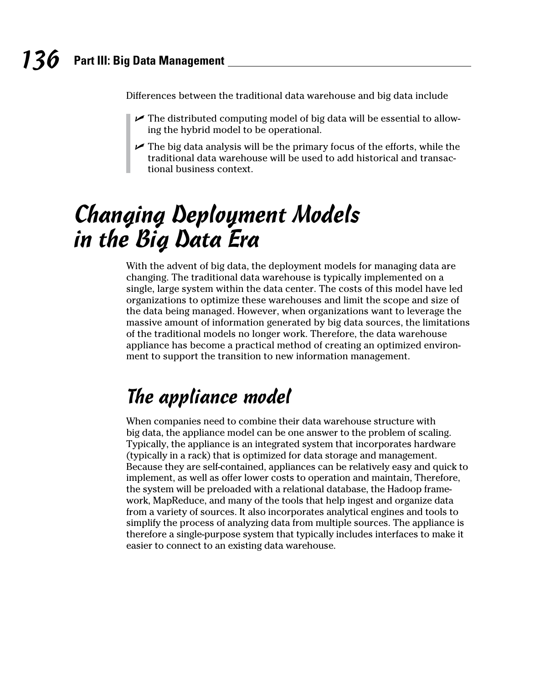Differences between the traditional data warehouse and big data include

- The distributed computing model of big data will be essential to allowing the hybrid model to be operational.
- $\blacktriangleright$  The big data analysis will be the primary focus of the efforts, while the traditional data warehouse will be used to add historical and transactional business context.

# Changing Deployment Models in the Big Data Era

With the advent of big data, the deployment models for managing data are changing. The traditional data warehouse is typically implemented on a single, large system within the data center. The costs of this model have led organizations to optimize these warehouses and limit the scope and size of the data being managed. However, when organizations want to leverage the massive amount of information generated by big data sources, the limitations of the traditional models no longer work. Therefore, the data warehouse appliance has become a practical method of creating an optimized environment to support the transition to new information management.

# The appliance model

When companies need to combine their data warehouse structure with big data, the appliance model can be one answer to the problem of scaling. Typically, the appliance is an integrated system that incorporates hardware (typically in a rack) that is optimized for data storage and management. Because they are self-contained, appliances can be relatively easy and quick to implement, as well as offer lower costs to operation and maintain, Therefore, the system will be preloaded with a relational database, the Hadoop framework, MapReduce, and many of the tools that help ingest and organize data from a variety of sources. It also incorporates analytical engines and tools to simplify the process of analyzing data from multiple sources. The appliance is therefore a single-purpose system that typically includes interfaces to make it easier to connect to an existing data warehouse.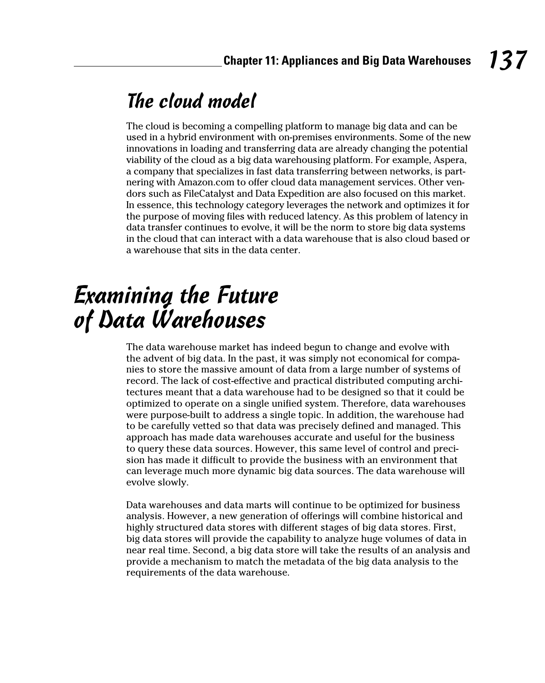#### The cloud model

The cloud is becoming a compelling platform to manage big data and can be used in a hybrid environment with on-premises environments. Some of the new innovations in loading and transferring data are already changing the potential viability of the cloud as a big data warehousing platform. For example, Aspera, a company that specializes in fast data transferring between networks, is partnering with Amazon.com to offer cloud data management services. Other vendors such as FileCatalyst and Data Expedition are also focused on this market. In essence, this technology category leverages the network and optimizes it for the purpose of moving files with reduced latency. As this problem of latency in data transfer continues to evolve, it will be the norm to store big data systems in the cloud that can interact with a data warehouse that is also cloud based or a warehouse that sits in the data center.

# Examining the Future of Data Warehouses

The data warehouse market has indeed begun to change and evolve with the advent of big data. In the past, it was simply not economical for companies to store the massive amount of data from a large number of systems of record. The lack of cost-effective and practical distributed computing architectures meant that a data warehouse had to be designed so that it could be optimized to operate on a single unified system. Therefore, data warehouses were purpose-built to address a single topic. In addition, the warehouse had to be carefully vetted so that data was precisely defined and managed. This approach has made data warehouses accurate and useful for the business to query these data sources. However, this same level of control and precision has made it difficult to provide the business with an environment that can leverage much more dynamic big data sources. The data warehouse will evolve slowly.

Data warehouses and data marts will continue to be optimized for business analysis. However, a new generation of offerings will combine historical and highly structured data stores with different stages of big data stores. First, big data stores will provide the capability to analyze huge volumes of data in near real time. Second, a big data store will take the results of an analysis and provide a mechanism to match the metadata of the big data analysis to the requirements of the data warehouse.